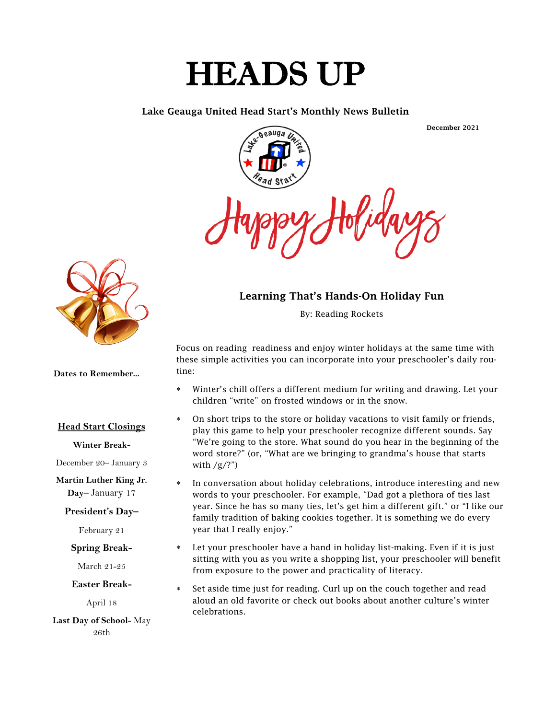# HEADS UP

#### Lake Geauga United Head Start's Monthly News Bulletin

December 2021



#### Learning That's Hands-On Holiday Fun

By: Reading Rockets

Focus on reading readiness and enjoy winter holidays at the same time with these simple activities you can incorporate into your preschooler's daily routine:

- Winter's chill offers a different medium for writing and drawing. Let your children "write" on frosted windows or in the snow.
- On short trips to the store or holiday vacations to visit family or friends, play this game to help your preschooler recognize different sounds. Say "We're going to the store. What sound do you hear in the beginning of the word store?" (or, "What are we bringing to grandma's house that starts with  $/g/?$ ")
- In conversation about holiday celebrations, introduce interesting and new words to your preschooler. For example, "Dad got a plethora of ties last year. Since he has so many ties, let's get him a different gift." or "I like our family tradition of baking cookies together. It is something we do every year that I really enjoy."
- Let your preschooler have a hand in holiday list-making. Even if it is just sitting with you as you write a shopping list, your preschooler will benefit from exposure to the power and practicality of literacy.
- Set aside time just for reading. Curl up on the couch together and read aloud an old favorite or check out books about another culture's winter celebrations.



**Dates to Remember...**

#### **Head Start Closings**

#### **Winter Break-**

December 20– January 3

**Martin Luther King Jr. Day–** January 17

#### **President's Day–**

February 21

**Spring Break-**

March 21-25

**Easter Break-**

April 18

**Last Day of School-** May 26th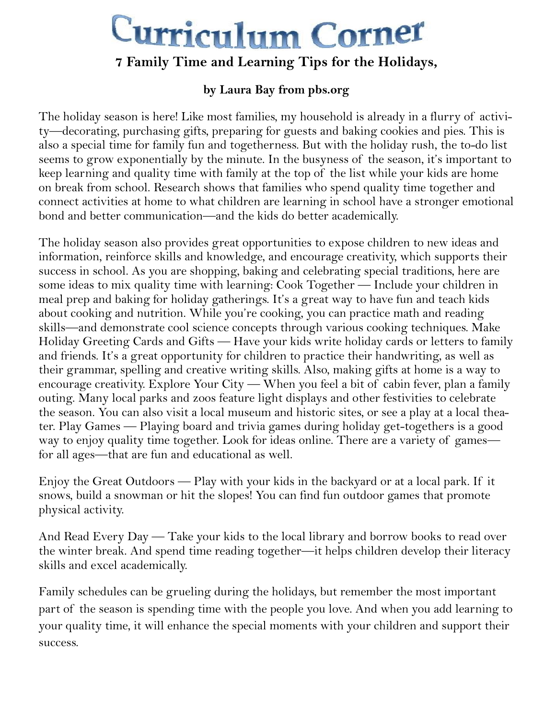# Curriculum Corner

# **7 Family Time and Learning Tips for the Holidays,**

## **by Laura Bay from pbs.org**

The holiday season is here! Like most families, my household is already in a flurry of activity—decorating, purchasing gifts, preparing for guests and baking cookies and pies. This is also a special time for family fun and togetherness. But with the holiday rush, the to-do list seems to grow exponentially by the minute. In the busyness of the season, it's important to keep learning and quality time with family at the top of the list while your kids are home on break from school. Research shows that families who spend quality time together and connect activities at home to what children are learning in school have a stronger emotional bond and better communication—and the kids do better academically.

The holiday season also provides great opportunities to expose children to new ideas and information, reinforce skills and knowledge, and encourage creativity, which supports their success in school. As you are shopping, baking and celebrating special traditions, here are some ideas to mix quality time with learning: Cook Together — Include your children in meal prep and baking for holiday gatherings. It's a great way to have fun and teach kids about cooking and nutrition. While you're cooking, you can practice math and reading skills—and demonstrate cool science concepts through various cooking techniques. Make Holiday Greeting Cards and Gifts — Have your kids write holiday cards or letters to family and friends. It's a great opportunity for children to practice their handwriting, as well as their grammar, spelling and creative writing skills. Also, making gifts at home is a way to encourage creativity. Explore Your City — When you feel a bit of cabin fever, plan a family outing. Many local parks and zoos feature light displays and other festivities to celebrate the season. You can also visit a local museum and historic sites, or see a play at a local theater. Play Games — Playing board and trivia games during holiday get-togethers is a good way to enjoy quality time together. Look for ideas online. There are a variety of games for all ages—that are fun and educational as well.

Enjoy the Great Outdoors — Play with your kids in the backyard or at a local park. If it snows, build a snowman or hit the slopes! You can find fun outdoor games that promote physical activity.

And Read Every Day — Take your kids to the local library and borrow books to read over the winter break. And spend time reading together—it helps children develop their literacy skills and excel academically.

Family schedules can be grueling during the holidays, but remember the most important part of the season is spending time with the people you love. And when you add learning to your quality time, it will enhance the special moments with your children and support their success.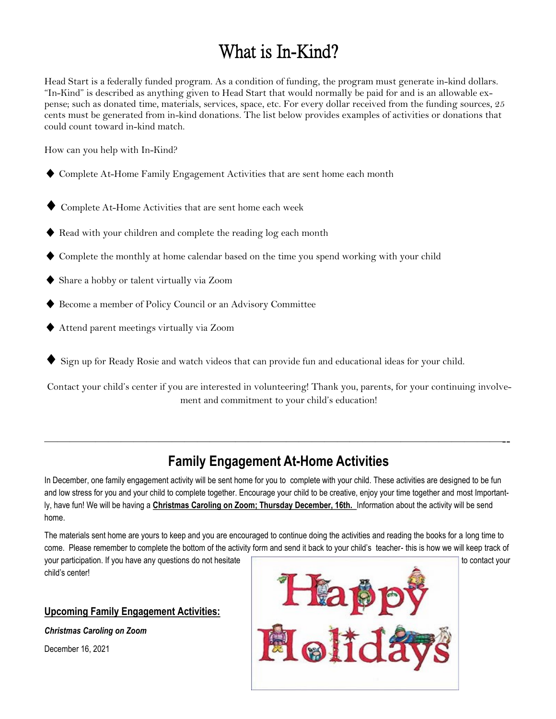# What is In-Kind?

Head Start is a federally funded program. As a condition of funding, the program must generate in-kind dollars. "In-Kind" is described as anything given to Head Start that would normally be paid for and is an allowable expense; such as donated time, materials, services, space, etc. For every dollar received from the funding sources, 25 cents must be generated from in-kind donations. The list below provides examples of activities or donations that could count toward in-kind match.

How can you help with In-Kind?

- ♦ Complete At-Home Family Engagement Activities that are sent home each month
- Complete At-Home Activities that are sent home each week
- ◆ Read with your children and complete the reading log each month
- ♦ Complete the monthly at home calendar based on the time you spend working with your child
- ♦ Share a hobby or talent virtually via Zoom
- Become a member of Policy Council or an Advisory Committee
- ◆ Attend parent meetings virtually via Zoom
- Sign up for Ready Rosie and watch videos that can provide fun and educational ideas for your child.

Contact your child's center if you are interested in volunteering! Thank you, parents, for your continuing involvement and commitment to your child's education!

# **Family Engagement At-Home Activities**

————————————————————————————————————--

In December, one family engagement activity will be sent home for you to complete with your child. These activities are designed to be fun and low stress for you and your child to complete together. Encourage your child to be creative, enjoy your time together and most Importantly, have fun! We will be having a **Christmas Caroling on Zoom; Thursday December, 16th.** Information about the activity will be send home.

The materials sent home are yours to keep and you are encouraged to continue doing the activities and reading the books for a long time to come. Please remember to complete the bottom of the activity form and send it back to your child's teacher- this is how we will keep track of

child's center!

#### **Upcoming Family Engagement Activities:**

*Christmas Caroling on Zoom*

December 16, 2021

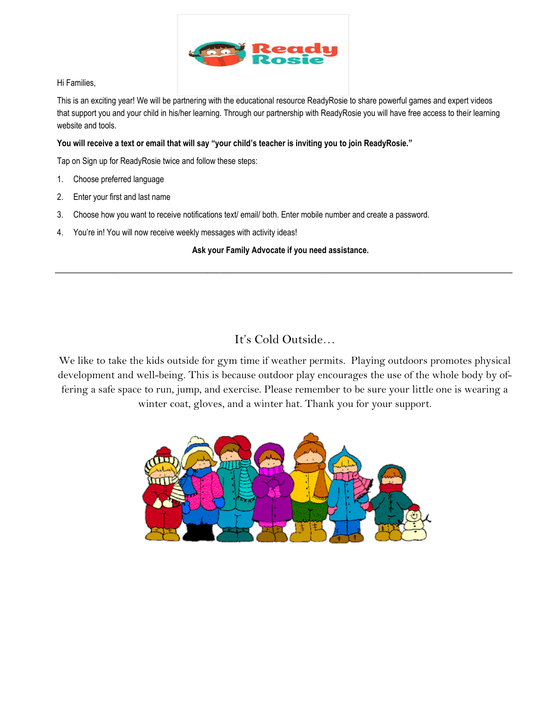

#### Hi Families,

This is an exciting year! We will be partnering with the educational resource ReadyRosie to share powerful games and expert videos that support you and your child in his/her learning. Through our partnership with ReadyRosie you will have free access to their learning website and tools.

#### **You will receive a text or email that will say "your child's teacher is inviting you to join ReadyRosie."**

Tap on Sign up for ReadyRosie twice and follow these steps:

- 1. Choose preferred language
- 2. Enter your first and last name
- 3. Choose how you want to receive notifications text/ email/ both. Enter mobile number and create a password.
- 4. You're in! You will now receive weekly messages with activity ideas!

#### **Ask your Family Advocate if you need assistance.**

 $\overline{\phantom{a}}$  , and the set of the set of the set of the set of the set of the set of the set of the set of the set of the set of the set of the set of the set of the set of the set of the set of the set of the set of the s

### It's Cold Outside…

We like to take the kids outside for gym time if weather permits. Playing outdoors promotes physical development and well-being. This is because outdoor play encourages the use of the whole body by offering a safe space to run, jump, and exercise. Please remember to be sure your little one is wearing a winter coat, gloves, and a winter hat. Thank you for your support.

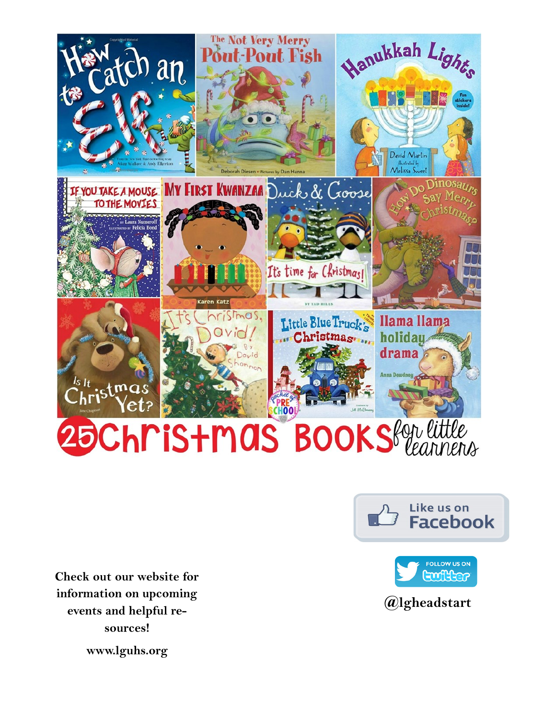

**Check out our website for information on upcoming events and helpful resources!**





**@lgheadstart**

**www.lguhs.org**